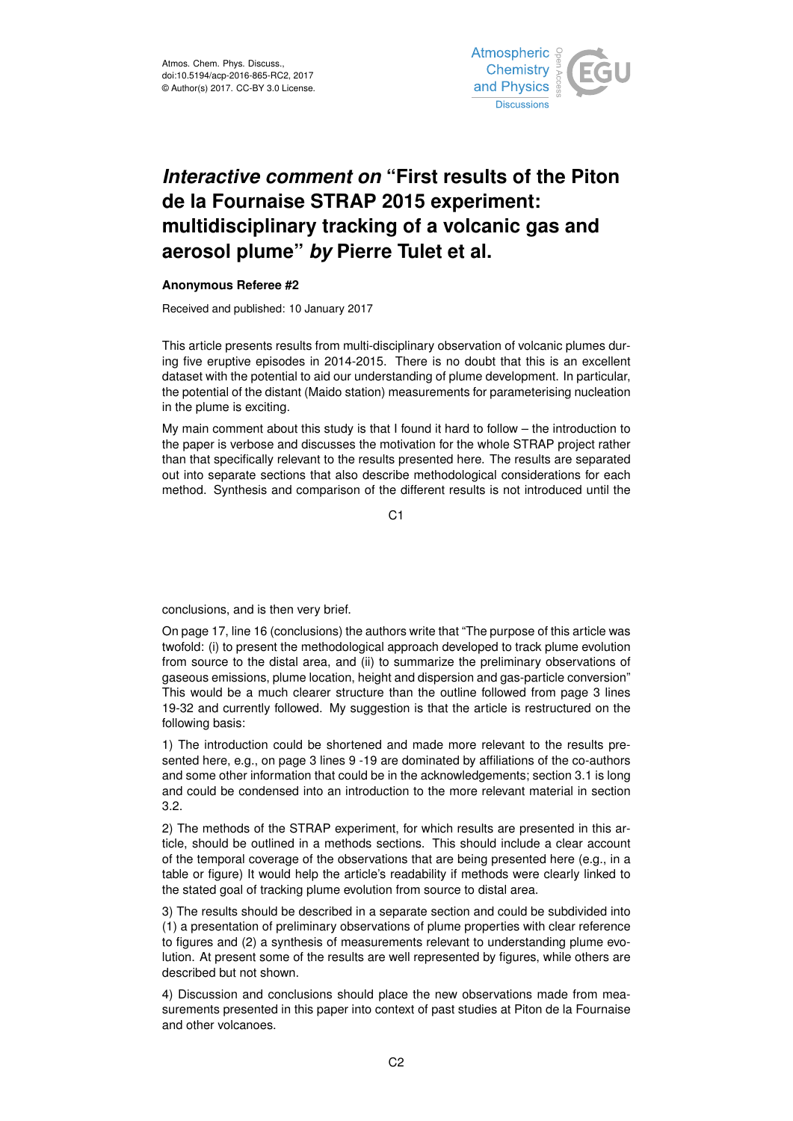

## *Interactive comment on* **"First results of the Piton de la Fournaise STRAP 2015 experiment: multidisciplinary tracking of a volcanic gas and aerosol plume"** *by* **Pierre Tulet et al.**

## **Anonymous Referee #2**

Received and published: 10 January 2017

This article presents results from multi-disciplinary observation of volcanic plumes during five eruptive episodes in 2014-2015. There is no doubt that this is an excellent dataset with the potential to aid our understanding of plume development. In particular, the potential of the distant (Maido station) measurements for parameterising nucleation in the plume is exciting.

My main comment about this study is that I found it hard to follow – the introduction to the paper is verbose and discusses the motivation for the whole STRAP project rather than that specifically relevant to the results presented here. The results are separated out into separate sections that also describe methodological considerations for each method. Synthesis and comparison of the different results is not introduced until the

C1

conclusions, and is then very brief.

On page 17, line 16 (conclusions) the authors write that "The purpose of this article was twofold: (i) to present the methodological approach developed to track plume evolution from source to the distal area, and (ii) to summarize the preliminary observations of gaseous emissions, plume location, height and dispersion and gas-particle conversion" This would be a much clearer structure than the outline followed from page 3 lines 19-32 and currently followed. My suggestion is that the article is restructured on the following basis:

1) The introduction could be shortened and made more relevant to the results presented here, e.g., on page 3 lines 9 -19 are dominated by affiliations of the co-authors and some other information that could be in the acknowledgements; section 3.1 is long and could be condensed into an introduction to the more relevant material in section 3.2.

2) The methods of the STRAP experiment, for which results are presented in this article, should be outlined in a methods sections. This should include a clear account of the temporal coverage of the observations that are being presented here (e.g., in a table or figure) It would help the article's readability if methods were clearly linked to the stated goal of tracking plume evolution from source to distal area.

3) The results should be described in a separate section and could be subdivided into (1) a presentation of preliminary observations of plume properties with clear reference to figures and (2) a synthesis of measurements relevant to understanding plume evolution. At present some of the results are well represented by figures, while others are described but not shown.

4) Discussion and conclusions should place the new observations made from measurements presented in this paper into context of past studies at Piton de la Fournaise and other volcanoes.